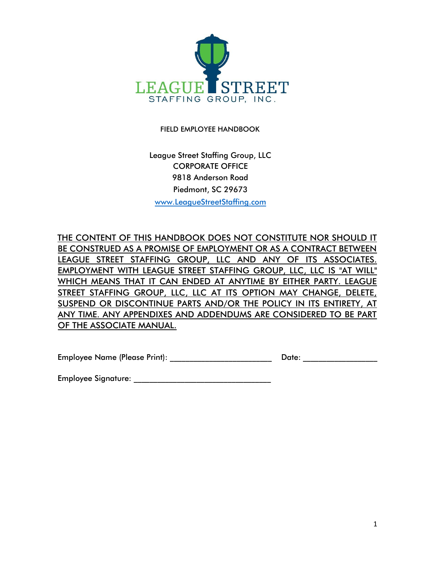

FIELD EMPLOYEE HANDBOOK

League Street Staffing Group, LLC CORPORATE OFFICE 9818 Anderson Road Piedmont, SC 29673 [www.LeagueStreetStaffing.com](http://www.leaguestreetstaffing.com/)

THE CONTENT OF THIS HANDBOOK DOES NOT CONSTITUTE NOR SHOULD IT BE CONSTRUED AS A PROMISE OF EMPLOYMENT OR AS A CONTRACT BETWEEN LEAGUE STREET STAFFING GROUP, LLC AND ANY OF ITS ASSOCIATES. EMPLOYMENT WITH LEAGUE STREET STAFFING GROUP, LLC, LLC IS "AT WILL" WHICH MEANS THAT IT CAN ENDED AT ANYTIME BY EITHER PARTY. LEAGUE STREET STAFFING GROUP, LLC, LLC AT ITS OPTION MAY CHANGE, DELETE, SUSPEND OR DISCONTINUE PARTS AND/OR THE POLICY IN ITS ENTIRETY, AT ANY TIME. ANY APPENDIXES AND ADDENDUMS ARE CONSIDERED TO BE PART OF THE ASSOCIATE MANUAL.

Employee Name (Please Print): etc. and a set of the Date:  $\blacksquare$ 

Employee Signature: \_\_\_\_\_\_\_\_\_\_\_\_\_\_\_\_\_\_\_\_\_\_\_\_\_\_\_\_\_\_\_\_\_\_\_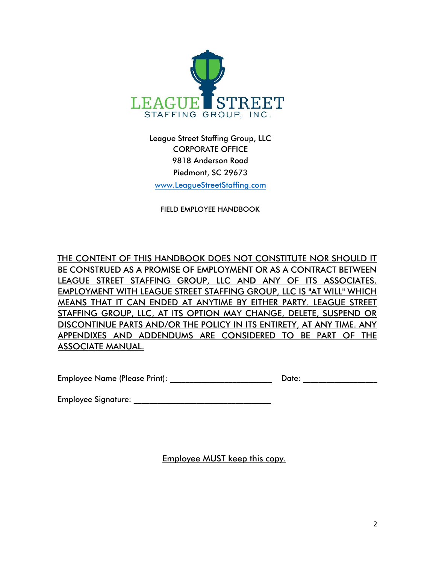

League Street Staffing Group, LLC CORPORATE OFFICE 9818 Anderson Road Piedmont, SC 29673 [www.LeagueStreetStaffing.com](http://www.leaguestreetstaffing.com/)

FIELD EMPLOYEE HANDBOOK

THE CONTENT OF THIS HANDBOOK DOES NOT CONSTITUTE NOR SHOULD IT BE CONSTRUED AS A PROMISE OF EMPLOYMENT OR AS A CONTRACT BETWEEN LEAGUE STREET STAFFING GROUP, LLC AND ANY OF ITS ASSOCIATES. EMPLOYMENT WITH LEAGUE STREET STAFFING GROUP, LLC IS "AT WILL" WHICH MEANS THAT IT CAN ENDED AT ANYTIME BY EITHER PARTY. LEAGUE STREET STAFFING GROUP, LLC, AT ITS OPTION MAY CHANGE, DELETE, SUSPEND OR DISCONTINUE PARTS AND/OR THE POLICY IN ITS ENTIRETY, AT ANY TIME. ANY APPENDIXES AND ADDENDUMS ARE CONSIDERED TO BE PART OF THE ASSOCIATE MANUAL.

Employee Name (Please Print): \_\_\_\_\_\_\_\_\_\_\_\_\_\_\_\_\_\_\_\_\_\_\_\_\_\_ Date: \_\_\_\_\_\_\_\_\_\_\_\_\_\_\_\_\_\_\_

Employee Signature: \_\_\_\_\_\_\_\_\_\_\_\_\_\_\_\_\_\_\_\_\_\_\_\_\_\_\_\_\_\_\_\_\_\_\_

Employee MUST keep this copy.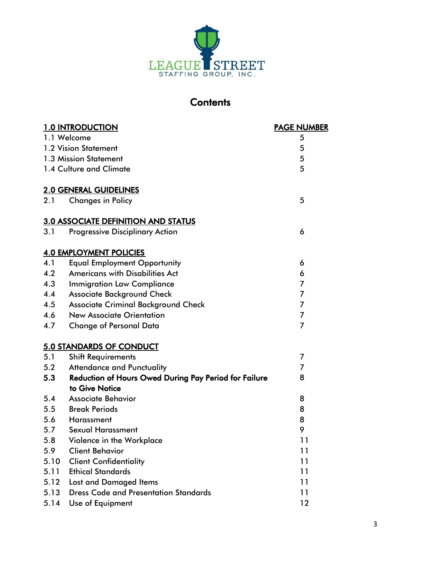

# **Contents**

|      | <b>1.0 INTRODUCTION</b>                                      | <b>PAGE NUMBER</b> |
|------|--------------------------------------------------------------|--------------------|
|      | 1.1 Welcome                                                  | 5                  |
|      | 1.2 Vision Statement                                         | 5                  |
|      | 1.3 Mission Statement                                        | 5                  |
|      | 1.4 Culture and Climate                                      | 5                  |
|      | <b>2.0 GENERAL GUIDELINES</b>                                |                    |
| 2.1  | <b>Changes in Policy</b>                                     | 5                  |
|      | <b>3.0 ASSOCIATE DEFINITION AND STATUS</b>                   |                    |
| 3.1  | <b>Progressive Disciplinary Action</b>                       | 6                  |
|      | <b>4.0 EMPLOYMENT POLICIES</b>                               |                    |
| 4.1  | <b>Equal Employment Opportunity</b>                          | 6                  |
| 4.2  | <b>Americans with Disabilities Act</b>                       | 6                  |
| 4.3  | <b>Immigration Law Compliance</b>                            | $\overline{7}$     |
| 4.4  | <b>Associate Background Check</b>                            | $\overline{7}$     |
| 4.5  | <b>Associate Criminal Background Check</b>                   | 7                  |
| 4.6  | <b>New Associate Orientation</b>                             | 7                  |
| 4.7  | <b>Change of Personal Data</b>                               | $\overline{7}$     |
|      | 5.0 STANDARDS OF CONDUCT                                     |                    |
| 5.1  | <b>Shift Requirements</b>                                    | 7                  |
| 5.2  | <b>Attendance and Punctuality</b>                            | 7                  |
| 5.3  | <b>Reduction of Hours Owed During Pay Period for Failure</b> | 8                  |
|      | to Give Notice                                               |                    |
| 5.4  | <b>Associate Behavior</b>                                    | 8                  |
| 5.5  | <b>Break Periods</b>                                         | 8                  |
| 5.6  | Harassment                                                   | 8                  |
| 5.7  | <b>Sexual Harassment</b>                                     | 9                  |
| 5.8  | Violence in the Workplace                                    | 11                 |
| 5.9  | <b>Client Behavior</b>                                       | 11                 |
| 5.10 | <b>Client Confidentiality</b>                                | 11                 |
| 5.11 | <b>Ethical Standards</b>                                     | 11                 |
| 5.12 | <b>Lost and Damaged Items</b>                                | 11                 |
| 5.13 | <b>Dress Code and Presentation Standards</b>                 | 11                 |
| 5.14 | Use of Equipment                                             | 12                 |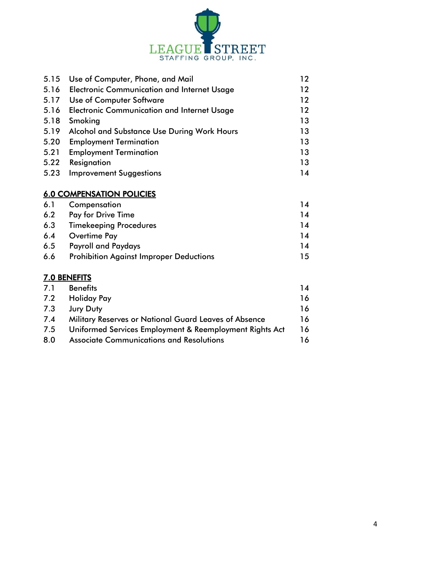

| 5.15 | Use of Computer, Phone, and Mail                   | 12 |
|------|----------------------------------------------------|----|
| 5.16 | <b>Electronic Communication and Internet Usage</b> | 12 |
| 5.17 | <b>Use of Computer Software</b>                    | 12 |
| 5.16 | <b>Electronic Communication and Internet Usage</b> | 12 |
| 5.18 | Smoking                                            | 13 |
| 5.19 | Alcohol and Substance Use During Work Hours        | 13 |
| 5.20 | <b>Employment Termination</b>                      | 13 |
| 5.21 | <b>Employment Termination</b>                      | 13 |
| 5.22 | Resignation                                        | 13 |
| 5.23 | <b>Improvement Suggestions</b>                     | 14 |
|      |                                                    |    |

## 6.0 COMPENSATION POLICIES

| 6.1 | Compensation                                   | 14 |
|-----|------------------------------------------------|----|
| 6.2 | <b>Pay for Drive Time</b>                      | 14 |
| 6.3 | <b>Timekeeping Procedures</b>                  | 14 |
| 6.4 | Overtime Pay                                   | 14 |
| 6.5 | <b>Payroll and Paydays</b>                     | 14 |
| 6.6 | <b>Prohibition Against Improper Deductions</b> | 15 |

## 7.0 BENEFITS

| 7.1 | <b>Benefits</b>                                         | 14  |
|-----|---------------------------------------------------------|-----|
| 7.2 | <b>Holiday Pay</b>                                      | 16  |
| 7.3 | <b>Jury Duty</b>                                        | 16. |
| 7.4 | Military Reserves or National Guard Leaves of Absence   | 16. |
| 7.5 | Uniformed Services Employment & Reemployment Rights Act | 16  |
| 8.0 | <b>Associate Communications and Resolutions</b>         |     |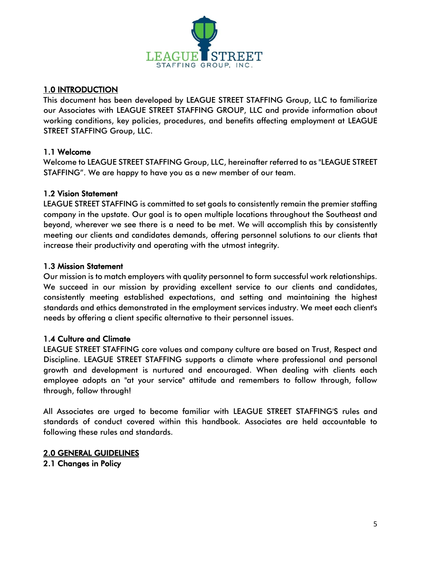

## 1.0 INTRODUCTION

This document has been developed by LEAGUE STREET STAFFING Group, LLC to familiarize our Associates with LEAGUE STREET STAFFING GROUP, LLC and provide information about working conditions, key policies, procedures, and benefits affecting employment at LEAGUE STREET STAFFING Group, LLC.

## 1.1 Welcome

Welcome to LEAGUE STREET STAFFING Group, LLC, hereinafter referred to as "LEAGUE STREET STAFFING". We are happy to have you as a new member of our team.

## 1.2 Vision Statement

LEAGUE STREET STAFFING is committed to set goals to consistently remain the premier staffing company in the upstate. Our goal is to open multiple locations throughout the Southeast and beyond, wherever we see there is a need to be met. We will accomplish this by consistently meeting our clients and candidates demands, offering personnel solutions to our clients that increase their productivity and operating with the utmost integrity.

## 1.3 Mission Statement

Our mission is to match employers with quality personnel to form successful work relationships. We succeed in our mission by providing excellent service to our clients and candidates, consistently meeting established expectations, and setting and maintaining the highest standards and ethics demonstrated in the employment services industry. We meet each client's needs by offering a client specific alternative to their personnel issues.

## 1.4 Culture and Climate

LEAGUE STREET STAFFING core values and company culture are based on Trust, Respect and Discipline. LEAGUE STREET STAFFING supports a climate where professional and personal growth and development is nurtured and encouraged. When dealing with clients each employee adopts an "at your service" attitude and remembers to follow through, follow through, follow through!

All Associates are urged to become familiar with LEAGUE STREET STAFFING'S rules and standards of conduct covered within this handbook. Associates are held accountable to following these rules and standards.

## 2.0 GENERAL GUIDELINES

2.1 Changes in Policy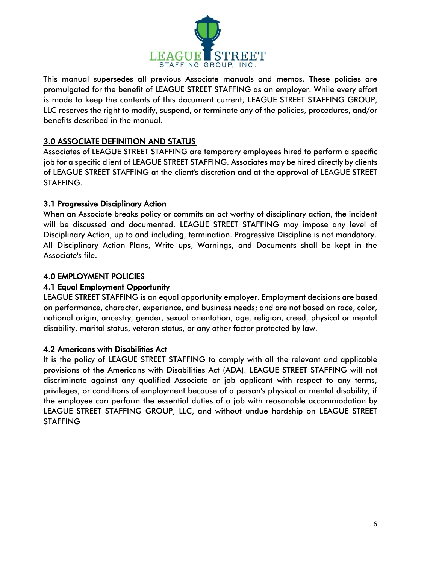

This manual supersedes all previous Associate manuals and memos. These policies are promulgated for the benefit of LEAGUE STREET STAFFING as an employer. While every effort is made to keep the contents of this document current, LEAGUE STREET STAFFING GROUP, LLC reserves the right to modify, suspend, or terminate any of the policies, procedures, and/or benefits described in the manual.

## 3.0 ASSOCIATE DEFINITION AND STATUS

Associates of LEAGUE STREET STAFFING are temporary employees hired to perform a specific job for a specific client of LEAGUE STREET STAFFING. Associates may be hired directly by clients of LEAGUE STREET STAFFING at the client's discretion and at the approval of LEAGUE STREET STAFFING.

## 3.1 Progressive Disciplinary Action

When an Associate breaks policy or commits an act worthy of disciplinary action, the incident will be discussed and documented. LEAGUE STREET STAFFING may impose any level of Disciplinary Action, up to and including, termination. Progressive Discipline is not mandatory. All Disciplinary Action Plans, Write ups, Warnings, and Documents shall be kept in the Associate's file.

## 4.0 EMPLOYMENT POLICIES

## 4.1 Equal Employment Opportunity

LEAGUE STREET STAFFING is an equal opportunity employer. Employment decisions are based on performance, character, experience, and business needs; and are not based on race, color, national origin, ancestry, gender, sexual orientation, age, religion, creed, physical or mental disability, marital status, veteran status, or any other factor protected by law.

## 4.2 Americans with Disabilities Act

It is the policy of LEAGUE STREET STAFFING to comply with all the relevant and applicable provisions of the Americans with Disabilities Act (ADA). LEAGUE STREET STAFFING will not discriminate against any qualified Associate or job applicant with respect to any terms, privileges, or conditions of employment because of a person's physical or mental disability, if the employee can perform the essential duties of a job with reasonable accommodation by LEAGUE STREET STAFFING GROUP, LLC, and without undue hardship on LEAGUE STREET **STAFFING**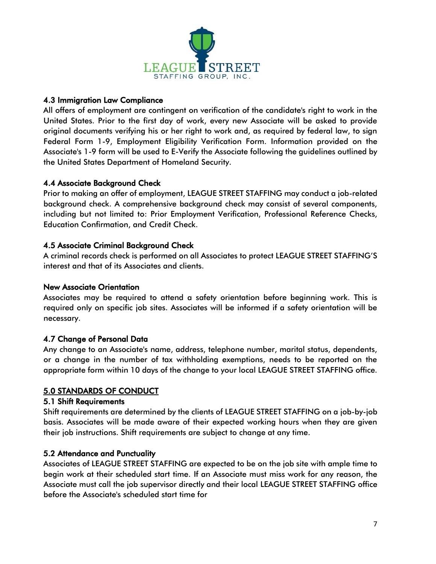

## 4.3 Immigration Law Compliance

All offers of employment are contingent on verification of the candidate's right to work in the United States. Prior to the first day of work, every new Associate will be asked to provide original documents verifying his or her right to work and, as required by federal law, to sign Federal Form 1-9, Employment Eligibility Verification Form. Information provided on the Associate's 1-9 form will be used to E-Verify the Associate following the guidelines outlined by the United States Department of Homeland Security.

## 4.4 Associate Background Check

Prior to making an offer of employment, LEAGUE STREET STAFFING may conduct a job-related background check. A comprehensive background check may consist of several components, including but not limited to: Prior Employment Verification, Professional Reference Checks, Education Confirmation, and Credit Check.

## 4.5 Associate Criminal Background Check

A criminal records check is performed on all Associates to protect LEAGUE STREET STAFFING'S interest and that of its Associates and clients.

## New Associate Orientation

Associates may be required to attend a safety orientation before beginning work. This is required only on specific job sites. Associates will be informed if a safety orientation will be necessary.

## 4.7 Change of Personal Data

Any change to an Associate's name, address, telephone number, marital status, dependents, or a change in the number of tax withholding exemptions, needs to be reported on the appropriate form within 10 days of the change to your local LEAGUE STREET STAFFING office.

## 5.0 STANDARDS OF CONDUCT

## 5.1 Shift Requirements

Shift requirements are determined by the clients of LEAGUE STREET STAFFING on a job-by-job basis. Associates will be made aware of their expected working hours when they are given their job instructions. Shift requirements are subject to change at any time.

## 5.2 Attendance and Punctuality

Associates of LEAGUE STREET STAFFING are expected to be on the job site with ample time to begin work at their scheduled start time. If an Associate must miss work for any reason, the Associate must call the job supervisor directly and their local LEAGUE STREET STAFFING office before the Associate's scheduled start time for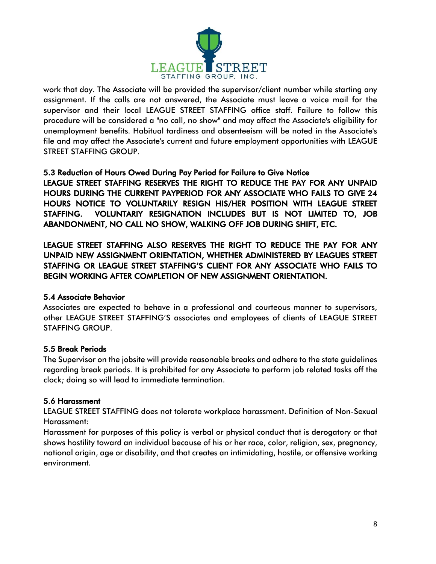

work that day. The Associate will be provided the supervisor/client number while starting any assignment. If the calls are not answered, the Associate must leave a voice mail for the supervisor and their local LEAGUE STREET STAFFING office staff. Failure to follow this procedure will be considered a "no call, no show" and may affect the Associate's eligibility for unemployment benefits. Habitual tardiness and absenteeism will be noted in the Associate's file and may affect the Associate's current and future employment opportunities with LEAGUE STREET STAFFING GROUP.

## 5.3 Reduction of Hours Owed During Pay Period for Failure to Give Notice

LEAGUE STREET STAFFING RESERVES THE RIGHT TO REDUCE THE PAY FOR ANY UNPAID HOURS DURING THE CURRENT PAYPERIOD FOR ANY ASSOCIATE WHO FAILS TO GIVE 24 HOURS NOTICE TO VOLUNTARILY RESIGN HIS/HER POSITION WITH LEAGUE STREET STAFFING. VOLUNTARIY RESIGNATION INCLUDES BUT IS NOT LIMITED TO, JOB ABANDONMENT, NO CALL NO SHOW, WALKING OFF JOB DURING SHIFT, ETC.

LEAGUE STREET STAFFING ALSO RESERVES THE RIGHT TO REDUCE THE PAY FOR ANY UNPAID NEW ASSIGNMENT ORIENTATION, WHETHER ADMINISTERED BY LEAGUES STREET STAFFING OR LEAGUE STREET STAFFING'S CLIENT FOR ANY ASSOCIATE WHO FAILS TO BEGIN WORKING AFTER COMPLETION OF NEW ASSIGNMENT ORIENTATION.

## 5.4 Associate Behavior

Associates are expected to behave in a professional and courteous manner to supervisors, other LEAGUE STREET STAFFING'S associates and employees of clients of LEAGUE STREET STAFFING GROUP.

## 5.5 Break Periods

The Supervisor on the jobsite will provide reasonable breaks and adhere to the state guidelines regarding break periods. It is prohibited for any Associate to perform job related tasks off the clock; doing so will lead to immediate termination.

#### 5.6 Harassment

LEAGUE STREET STAFFING does not tolerate workplace harassment. Definition of Non-Sexual Harassment:

Harassment for purposes of this policy is verbal or physical conduct that is derogatory or that shows hostility toward an individual because of his or her race, color, religion, sex, pregnancy, national origin, age or disability, and that creates an intimidating, hostile, or offensive working environment.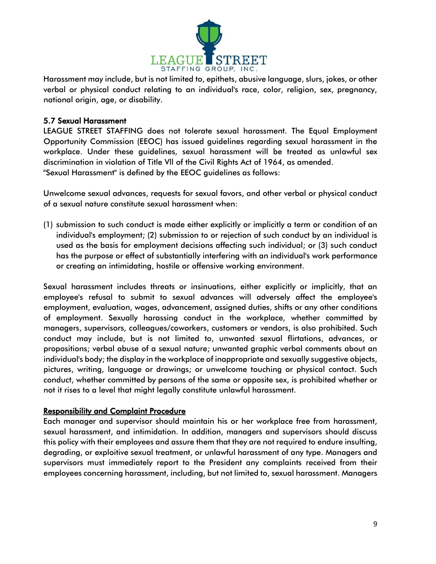

Harassment may include, but is not limited to, epithets, abusive language, slurs, jokes, or other verbal or physical conduct relating to an individual's race, color, religion, sex, pregnancy, national origin, age, or disability.

#### 5.7 Sexual Harassment

LEAGUE STREET STAFFING does not tolerate sexual harassment. The Equal Employment Opportunity Commission (EEOC) has issued guidelines regarding sexual harassment in the workplace. Under these guidelines, sexual harassment will be treated as unlawful sex discrimination in violation of Title Vll of the Civil Rights Act of 1964, as amended. "Sexual Harassment" is defined by the EEOC guidelines as follows:

Unwelcome sexual advances, requests for sexual favors, and other verbal or physical conduct of a sexual nature constitute sexual harassment when:

(1) submission to such conduct is made either explicitly or implicitly a term or condition of an individual's employment; (2) submission to or rejection of such conduct by an individual is used as the basis for employment decisions affecting such individual; or (3) such conduct has the purpose or effect of substantially interfering with an individual's work performance or creating an intimidating, hostile or offensive working environment.

Sexual harassment includes threats or insinuations, either explicitly or implicitly, that an employee's refusal to submit to sexual advances will adversely affect the employee's employment, evaluation, wages, advancement, assigned duties, shifts or any other conditions of employment. Sexually harassing conduct in the workplace, whether committed by managers, supervisors, colleagues/coworkers, customers or vendors, is also prohibited. Such conduct may include, but is not limited to, unwanted sexual flirtations, advances, or propositions; verbal abuse of a sexual nature; unwanted graphic verbal comments about an individual's body; the display in the workplace of inappropriate and sexually suggestive objects, pictures, writing, language or drawings; or unwelcome touching or physical contact. Such conduct, whether committed by persons of the same or opposite sex, is prohibited whether or not it rises to a level that might legally constitute unlawful harassment.

## Responsibility and Complaint Procedure

Each manager and supervisor should maintain his or her workplace free from harassment, sexual harassment, and intimidation. In addition, managers and supervisors should discuss this policy with their employees and assure them that they are not required to endure insulting, degrading, or exploitive sexual treatment, or unlawful harassment of any type. Managers and supervisors must immediately report to the President any complaints received from their employees concerning harassment, including, but not limited to, sexual harassment. Managers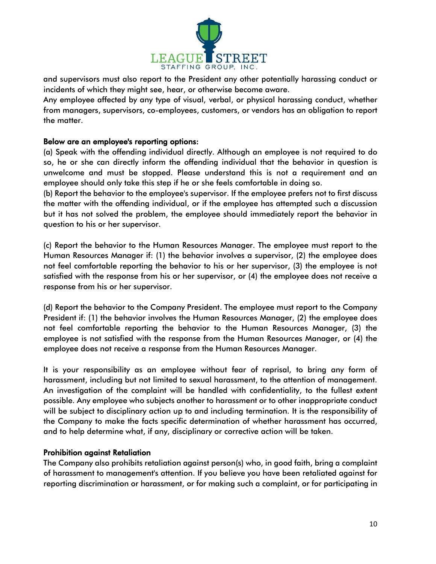

and supervisors must also report to the President any other potentially harassing conduct or incidents of which they might see, hear, or otherwise become aware.

Any employee affected by any type of visual, verbal, or physical harassing conduct, whether from managers, supervisors, co-employees, customers, or vendors has an obligation to report the matter.

#### Below are an employee's reporting options:

(a) Speak with the offending individual directly. Although an employee is not required to do so, he or she can directly inform the offending individual that the behavior in question is unwelcome and must be stopped. Please understand this is not a requirement and an employee should only take this step if he or she feels comfortable in doing so.

(b) Report the behavior to the employee's supervisor. If the employee prefers not to first discuss the matter with the offending individual, or if the employee has attempted such a discussion but it has not solved the problem, the employee should immediately report the behavior in question to his or her supervisor.

(c) Report the behavior to the Human Resources Manager. The employee must report to the Human Resources Manager if: (1) the behavior involves a supervisor, (2) the employee does not feel comfortable reporting the behavior to his or her supervisor, (3) the employee is not satisfied with the response from his or her supervisor, or (4) the employee does not receive a response from his or her supervisor.

(d) Report the behavior to the Company President. The employee must report to the Company President if: (1) the behavior involves the Human Resources Manager, (2) the employee does not feel comfortable reporting the behavior to the Human Resources Manager, (3) the employee is not satisfied with the response from the Human Resources Manager, or (4) the employee does not receive a response from the Human Resources Manager.

It is your responsibility as an employee without fear of reprisal, to bring any form of harassment, including but not limited to sexual harassment, to the attention of management. An investigation of the complaint will be handled with confidentiality, to the fullest extent possible. Any employee who subjects another to harassment or to other inappropriate conduct will be subject to disciplinary action up to and including termination. It is the responsibility of the Company to make the facts specific determination of whether harassment has occurred, and to help determine what, if any, disciplinary or corrective action will be taken.

#### Prohibition against Retaliation

The Company also prohibits retaliation against person(s) who, in good faith, bring a complaint of harassment to management's attention. If you believe you have been retaliated against for reporting discrimination or harassment, or for making such a complaint, or for participating in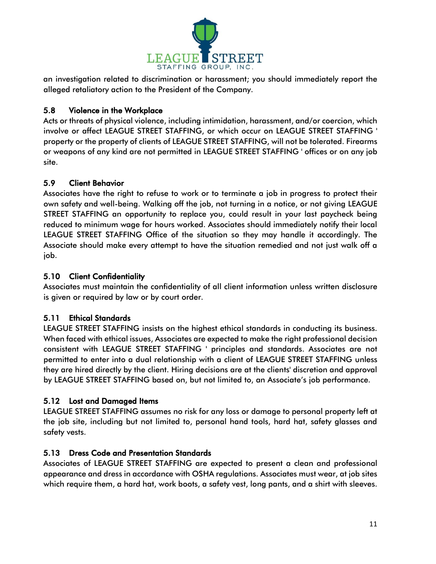

an investigation related to discrimination or harassment; you should immediately report the alleged retaliatory action to the President of the Company.

## 5.8 Violence in the Workplace

Acts or threats of physical violence, including intimidation, harassment, and/or coercion, which involve or affect LEAGUE STREET STAFFING, or which occur on LEAGUE STREET STAFFING ' property or the property of clients of LEAGUE STREET STAFFING, will not be tolerated. Firearms or weapons of any kind are not permitted in LEAGUE STREET STAFFING ' offices or on any job site.

## 5.9 Client Behavior

Associates have the right to refuse to work or to terminate a job in progress to protect their own safety and well-being. Walking off the job, not turning in a notice, or not giving LEAGUE STREET STAFFING an opportunity to replace you, could result in your last paycheck being reduced to minimum wage for hours worked. Associates should immediately notify their local LEAGUE STREET STAFFING Office of the situation so they may handle it accordingly. The Associate should make every attempt to have the situation remedied and not just walk off a job.

## 5.10 Client Confidentiality

Associates must maintain the confidentiality of all client information unless written disclosure is given or required by law or by court order.

## 5.11 Ethical Standards

LEAGUE STREET STAFFING insists on the highest ethical standards in conducting its business. When faced with ethical issues, Associates are expected to make the right professional decision consistent with LEAGUE STREET STAFFING ' principles and standards. Associates are not permitted to enter into a dual relationship with a client of LEAGUE STREET STAFFING unless they are hired directly by the client. Hiring decisions are at the clients' discretion and approval by LEAGUE STREET STAFFING based on, but not limited to, an Associate's job performance.

## 5.12 Lost and Damaged Items

LEAGUE STREET STAFFING assumes no risk for any loss or damage to personal property left at the job site, including but not limited to, personal hand tools, hard hat, safety glasses and safety vests.

## 5.13 Dress Code and Presentation Standards

Associates of LEAGUE STREET STAFFING are expected to present a clean and professional appearance and dress in accordance with OSHA regulations. Associates must wear, at job sites which require them, a hard hat, work boots, a safety vest, long pants, and a shirt with sleeves.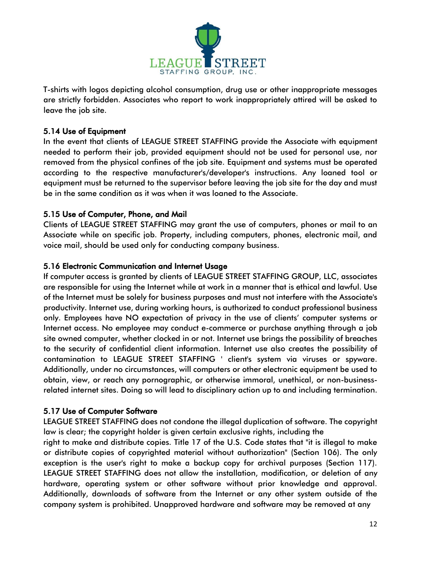

T-shirts with logos depicting alcohol consumption, drug use or other inappropriate messages are strictly forbidden. Associates who report to work inappropriately attired will be asked to leave the job site.

#### 5.14 Use of Equipment

In the event that clients of LEAGUE STREET STAFFING provide the Associate with equipment needed to perform their job, provided equipment should not be used for personal use, nor removed from the physical confines of the job site. Equipment and systems must be operated according to the respective manufacturer's/developer's instructions. Any loaned tool or equipment must be returned to the supervisor before leaving the job site for the day and must be in the same condition as it was when it was loaned to the Associate.

## 5.15 Use of Computer, Phone, and Mail

Clients of LEAGUE STREET STAFFING may grant the use of computers, phones or mail to an Associate while on specific job. Property, including computers, phones, electronic mail, and voice mail, should be used only for conducting company business.

## 5.16 Electronic Communication and Internet Usage

If computer access is granted by clients of LEAGUE STREET STAFFING GROUP, LLC, associates are responsible for using the Internet while at work in a manner that is ethical and lawful. Use of the Internet must be solely for business purposes and must not interfere with the Associate's productivity. Internet use, during working hours, is authorized to conduct professional business only. Employees have NO expectation of privacy in the use of clients' computer systems or Internet access. No employee may conduct e-commerce or purchase anything through a job site owned computer, whether clocked in or not. Internet use brings the possibility of breaches to the security of confidential client information. Internet use also creates the possibility of contamination to LEAGUE STREET STAFFING ' client's system via viruses or spyware. Additionally, under no circumstances, will computers or other electronic equipment be used to obtain, view, or reach any pornographic, or otherwise immoral, unethical, or non-businessrelated internet sites. Doing so will lead to disciplinary action up to and including termination.

## 5.17 Use of Computer Software

LEAGUE STREET STAFFING does not condone the illegal duplication of software. The copyright law is clear; the copyright holder is given certain exclusive rights, including the

right to make and distribute copies. Title 17 of the U.S. Code states that "it is illegal to make or distribute copies of copyrighted material without authorization" (Section 106). The only exception is the user's right to make a backup copy for archival purposes (Section 117). LEAGUE STREET STAFFING does not allow the installation, modification, or deletion of any hardware, operating system or other software without prior knowledge and approval. Additionally, downloads of software from the Internet or any other system outside of the company system is prohibited. Unapproved hardware and software may be removed at any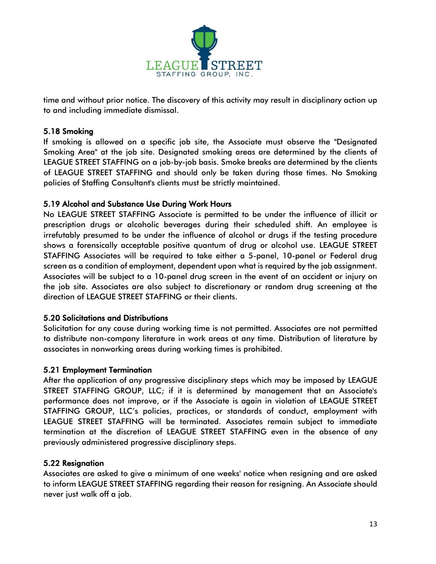

time and without prior notice. The discovery of this activity may result in disciplinary action up to and including immediate dismissal.

#### 5.18 Smoking

If smoking is allowed on a specific job site, the Associate must observe the "Designated Smoking Area" at the job site. Designated smoking areas are determined by the clients of LEAGUE STREET STAFFING on a job-by-job basis. Smoke breaks are determined by the clients of LEAGUE STREET STAFFING and should only be taken during those times. No Smoking policies of Staffing Consultant's clients must be strictly maintained.

## 5.19 Alcohol and Substance Use During Work Hours

No LEAGUE STREET STAFFING Associate is permitted to be under the influence of illicit or prescription drugs or alcoholic beverages during their scheduled shift. An employee is irrefutably presumed to be under the influence of alcohol or drugs if the testing procedure shows a forensically acceptable positive quantum of drug or alcohol use. LEAGUE STREET STAFFING Associates will be required to take either a 5-panel, 10-panel or Federal drug screen as a condition of employment, dependent upon what is required by the job assignment. Associates will be subject to a 10-panel drug screen in the event of an accident or injury on the job site. Associates are also subject to discretionary or random drug screening at the direction of LEAGUE STREET STAFFING or their clients.

#### 5.20 Solicitations and Distributions

Solicitation for any cause during working time is not permitted. Associates are not permitted to distribute non-company literature in work areas at any time. Distribution of literature by associates in nonworking areas during working times is prohibited.

#### 5.21 Employment Termination

After the application of any progressive disciplinary steps which may be imposed by LEAGUE STREET STAFFING GROUP, LLC; if it is determined by management that an Associate's performance does not improve, or if the Associate is again in violation of LEAGUE STREET STAFFING GROUP, LLC's policies, practices, or standards of conduct, employment with LEAGUE STREET STAFFING will be terminated. Associates remain subject to immediate termination at the discretion of LEAGUE STREET STAFFING even in the absence of any previously administered progressive disciplinary steps.

## 5.22 Resignation

Associates are asked to give a minimum of one weeks' notice when resigning and are asked to inform LEAGUE STREET STAFFING regarding their reason for resigning. An Associate should never just walk off a job.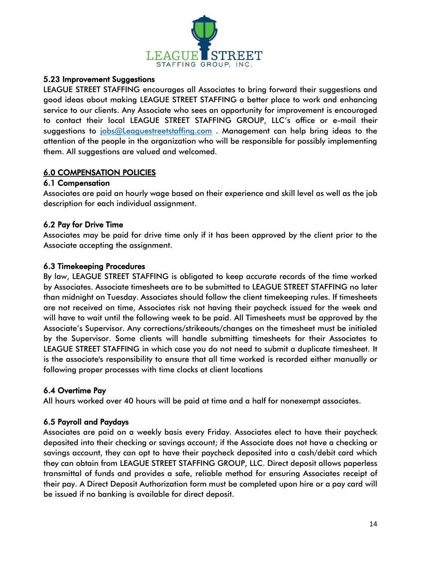

#### 5.23 Improvement Suggestions

LEAGUE STREET STAFFING encourages all Associates to bring forward their suggestions and good ideas about making LEAGUE STREET STAFFING a better place to work and enhancing service to our clients. Any Associate who sees an opportunity for improvement is encouraged to contact their local LEAGUE STREET STAFFING GROUP, LLC's office or e-mail their suggestions to [jobs@Leaguestreetstaffing.com](mailto:jobs@Leaguestreetstaffing.com) . Management can help bring ideas to the attention of the people in the organization who will be responsible for possibly implementing them. All suggestions are valued and welcomed.

## 6.0 COMPENSATION POLICIES

#### 6.1 Compensation

Associates are paid an hourly wage based on their experience and skill level as well as the job description for each individual assignment.

## 6.2 Pay for Drive Time

Associates may be paid for drive time only if it has been approved by the client prior to the Associate accepting the assignment.

## 6.3 Timekeeping Procedures

By law, LEAGUE STREET STAFFING is obligated to keep accurate records of the time worked by Associates. Associate timesheets are to be submitted to LEAGUE STREET STAFFING no later than midnight on Tuesday. Associates should follow the client timekeeping rules. If timesheets are not received on time, Associates risk not having their paycheck issued for the week and will have to wait until the following week to be paid. All Timesheets must be approved by the Associate's Supervisor. Any corrections/strikeouts/changes on the timesheet must be initialed by the Supervisor. Some clients will handle submitting timesheets for their Associates to LEAGUE STREET STAFFING in which case you do not need to submit a duplicate timesheet. It is the associate's responsibility to ensure that all time worked is recorded either manually or following proper processes with time clocks at client locations

## 6.4 Overtime Pay

All hours worked over 40 hours will be paid at time and a half for nonexempt associates.

## 6.5 Payroll and Paydays

Associates are paid on a weekly basis every Friday. Associates elect to have their paycheck deposited into their checking or savings account; if the Associate does not have a checking or savings account, they can opt to have their paycheck deposited into a cash/debit card which they can obtain from LEAGUE STREET STAFFING GROUP, LLC. Direct deposit allows paperless transmittal of funds and provides a safe, reliable method for ensuring Associates receipt of their pay. A Direct Deposit Authorization form must be completed upon hire or a pay card will be issued if no banking is available for direct deposit.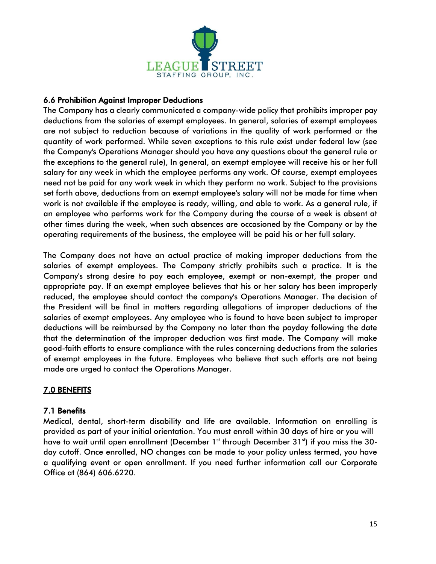

## 6.6 Prohibition Against Improper Deductions

The Company has a clearly communicated a company-wide policy that prohibits improper pay deductions from the salaries of exempt employees. In general, salaries of exempt employees are not subject to reduction because of variations in the quality of work performed or the quantity of work performed. While seven exceptions to this rule exist under federal law (see the Company's Operations Manager should you have any questions about the general rule or the exceptions to the general rule), In general, an exempt employee will receive his or her full salary for any week in which the employee performs any work. Of course, exempt employees need not be paid for any work week in which they perform no work. Subject to the provisions set forth above, deductions from an exempt employee's salary will not be made for time when work is not available if the employee is ready, willing, and able to work. As a general rule, if an employee who performs work for the Company during the course of a week is absent at other times during the week, when such absences are occasioned by the Company or by the operating requirements of the business, the employee will be paid his or her full salary.

The Company does not have an actual practice of making improper deductions from the salaries of exempt employees. The Company strictly prohibits such a practice. It is the Company's strong desire to pay each employee, exempt or non-exempt, the proper and appropriate pay. If an exempt employee believes that his or her salary has been improperly reduced, the employee should contact the company's Operations Manager. The decision of the President will be final in matters regarding allegations of improper deductions of the salaries of exempt employees. Any employee who is found to have been subject to improper deductions will be reimbursed by the Company no later than the payday following the date that the determination of the improper deduction was first made. The Company will make good-faith efforts to ensure compliance with the rules concerning deductions from the salaries of exempt employees in the future. Employees who believe that such efforts are not being made are urged to contact the Operations Manager.

## 7.0 BENEFITS

## 7.1 Benefits

Medical, dental, short-term disability and life are available. Information on enrolling is provided as part of your initial orientation. You must enroll within 30 days of hire or you will have to wait until open enrollment (December 1st through December 31st) if you miss the 30day cutoff. Once enrolled, NO changes can be made to your policy unless termed, you have a qualifying event or open enrollment. If you need further information call our Corporate Office at (864) 606.6220.